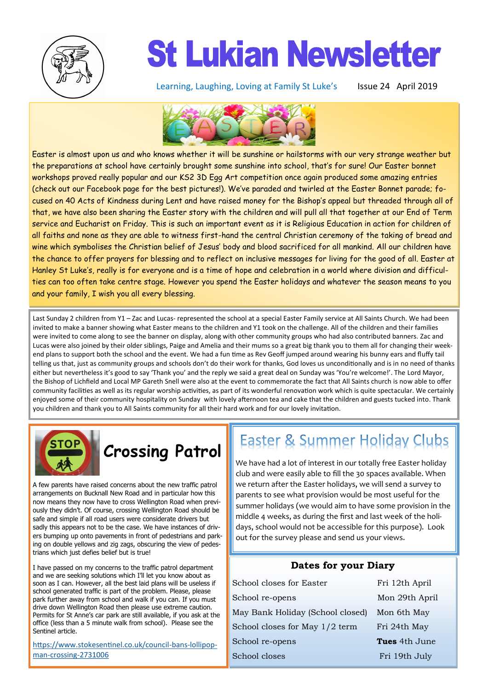

## **St Lukian Newsletter**

Learning, Laughing, Loving at Family St Luke's Issue 24 April 2019



Easter is almost upon us and who knows whether it will be sunshine or hailstorms with our very strange weather but the preparations at school have certainly brought some sunshine into school, that's for sure! Our Easter bonnet workshops proved really popular and our KS2 3D Egg Art competition once again produced some amazing entries (check out our Facebook page for the best pictures!). We've paraded and twirled at the Easter Bonnet parade; focused on 40 Acts of Kindness during Lent and have raised money for the Bishop's appeal but threaded through all of that, we have also been sharing the Easter story with the children and will pull all that together at our End of Term service and Eucharist on Friday. This is such an important event as it is Religious Education in action for children of all faiths and none as they are able to witness first-hand the central Christian ceremony of the taking of bread and wine which symbolises the Christian belief of Jesus' body and blood sacrificed for all mankind. All our children have the chance to offer prayers for blessing and to reflect on inclusive messages for living for the good of all. Easter at Hanley St Luke's, really is for everyone and is a time of hope and celebration in a world where division and difficulties can too often take centre stage. However you spend the Easter holidays and whatever the season means to you and your family, I wish you all every blessing.

Last Sunday 2 children from Y1 – Zac and Lucas- represented the school at a special Easter Family service at All Saints Church. We had been invited to make a banner showing what Easter means to the children and Y1 took on the challenge. All of the children and their families were invited to come along to see the banner on display, along with other community groups who had also contributed banners. Zac and Lucas were also joined by their older siblings, Paige and Amelia and their mums so a great big thank you to them all for changing their weekend plans to support both the school and the event. We had a fun time as Rev Geoff jumped around wearing his bunny ears and fluffy tail telling us that, just as community groups and schools don't do their work for thanks, God loves us unconditionally and is in no need of thanks either but nevertheless it's good to say 'Thank you' and the reply we said a great deal on Sunday was 'You're welcome!'. The Lord Mayor, the Bishop of Lichfield and Local MP Gareth Snell were also at the event to commemorate the fact that All Saints church is now able to offer community facilities as well as its regular worship activities, as part of its wonderful renovation work which is quite spectacular. We certainly enjoyed some of their community hospitality on Sunday with lovely afternoon tea and cake that the children and guests tucked into. Thank you children and thank you to All Saints community for all their hard work and for our lovely invitation.



### **Crossing Patrol**

A few parents have raised concerns about the new traffic patrol arrangements on Bucknall New Road and in particular how this now means they now have to cross Wellington Road when previously they didn't. Of course, crossing Wellington Road should be safe and simple if all road users were considerate drivers but sadly this appears not to be the case. We have instances of drivers bumping up onto pavements in front of pedestrians and parking on double yellows and zig zags, obscuring the view of pedestrians which just defies belief but is true!

I have passed on my concerns to the traffic patrol department and we are seeking solutions which I'll let you know about as soon as I can. However, all the best laid plans will be useless if school generated traffic is part of the problem. Please, please park further away from school and walk if you can. If you must drive down Wellington Road then please use extreme caution. Permits for St Anne's car park are still available, if you ask at the office (less than a 5 minute walk from school). Please see the Sentinel article.

[https://www.stokesentinel.co.uk/council](https://www.stokesentinel.co.uk/council-bans-lollipop-man-crossing-2731006)-bans-lollipopman-crossing-[2731006](https://www.stokesentinel.co.uk/council-bans-lollipop-man-crossing-2731006)

### **Easter & Summer Holiday Clubs**

We have had a lot of interest in our totally free Easter holiday club and were easily able to fill the 30 spaces available. When we return after the Easter holidays, we will send a survey to parents to see what provision would be most useful for the summer holidays (we would aim to have some provision in the middle 4 weeks, as during the first and last week of the holidays, school would not be accessible for this purpose). Look out for the survey please and send us your views.

#### **Dates for your Diary**

| School closes for Easter         | Fri 12th April       |
|----------------------------------|----------------------|
| School re-opens                  | Mon 29th April       |
| May Bank Holiday (School closed) | Mon 6th May          |
| School closes for May 1/2 term   | Fri 24th May         |
| School re-opens                  | <b>Tues</b> 4th June |
| School closes                    | Fri 19th July        |